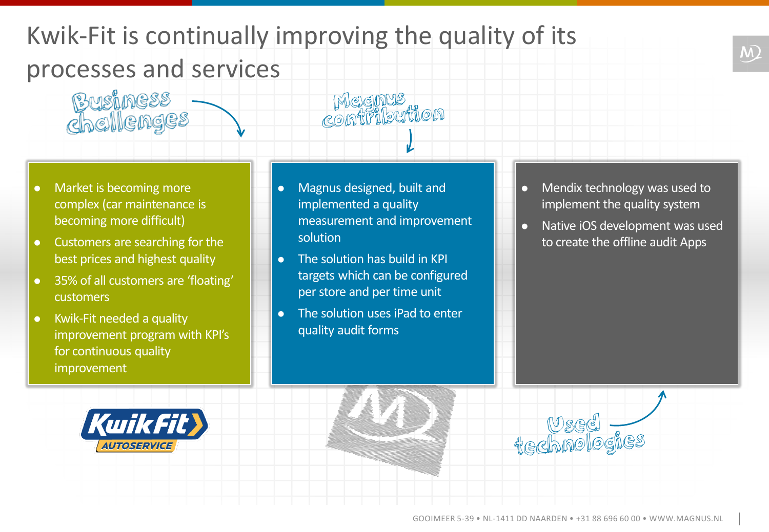## Kwik-Fit is continually improving the quality of its processes and services

 Market is becoming more complex (car maintenance is becoming more difficult)

Business<br>Chellenges

- Customers are searching for the best prices and highest quality
- 35% of all customers are 'floating' customers
- Kwik-Fit needed a quality improvement program with KPI's for continuous quality improvement

• Magnus designed, built and implemented a quality measurement and improvement solution

Megnus<br>Contribution

- The solution has build in KPI targets which can be configured per store and per time unit
- The solution uses iPad to enter quality audit forms
- Mendix technology was used to implement the quality system
- Native iOS development was used to create the offline audit Apps





wsed<br>technologies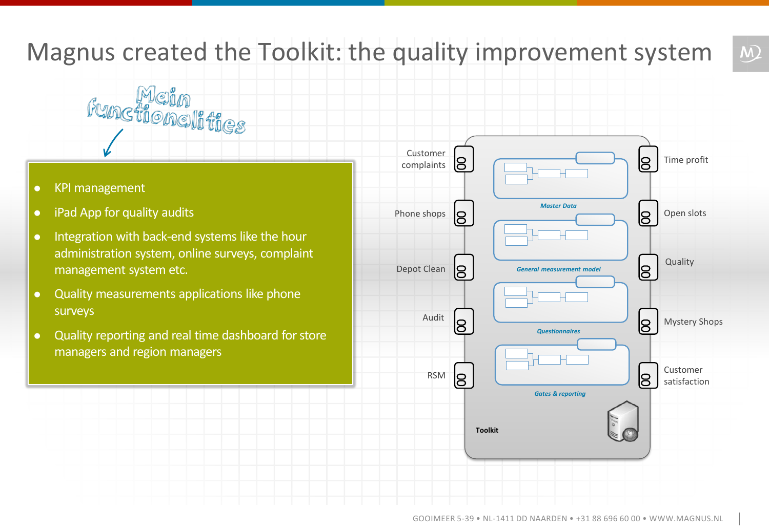## Magnus created the Toolkit: the quality improvement system

- KPI management
- iPad App for quality audits
- Integration with back-end systems like the hour administration system, online surveys, complaint management system etc.

**Functionalities** 

- Quality measurements applications like phone surveys
- Quality reporting and real time dashboard for store managers and region managers



 $\overline{M}$